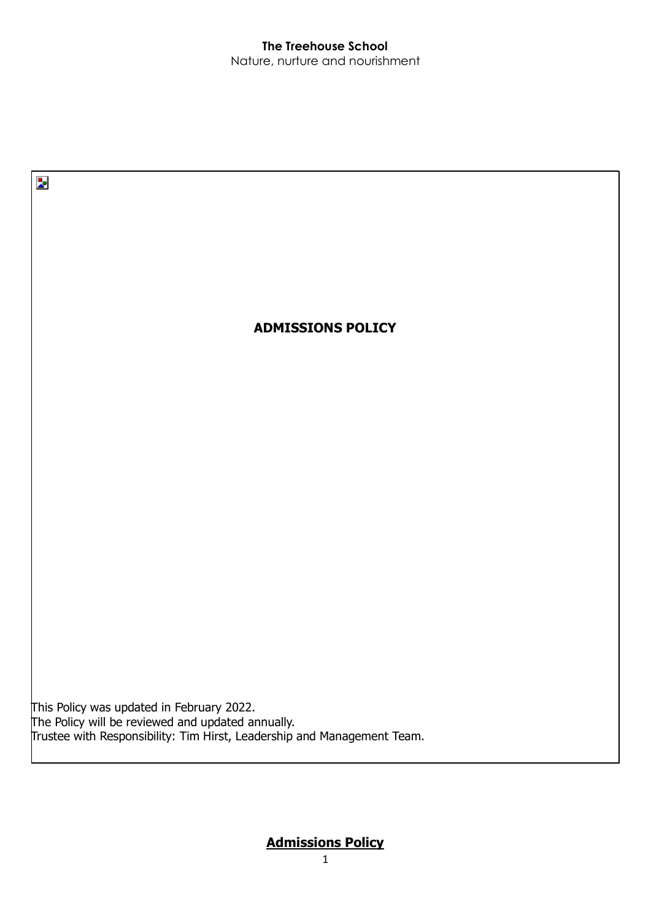

# **Admissions Policy**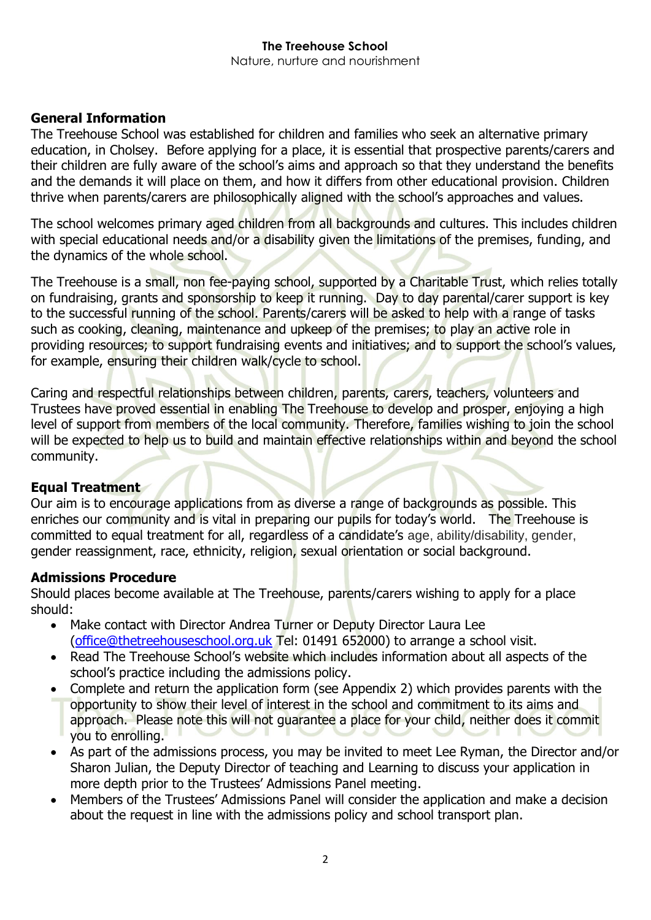## **General Information**

The Treehouse School was established for children and families who seek an alternative primary education, in Cholsey. Before applying for a place, it is essential that prospective parents/carers and their children are fully aware of the school's aims and approach so that they understand the benefits and the demands it will place on them, and how it differs from other educational provision. Children thrive when parents/carers are philosophically aligned with the school's approaches and values.

The school welcomes primary aged children from all backgrounds and cultures. This includes children with special educational needs and/or a disability given the limitations of the premises, funding, and the dynamics of the whole school.

The Treehouse is a small, non fee-paying school, supported by a Charitable Trust, which relies totally on fundraising, grants and sponsorship to keep it running. Day to day parental/carer support is key to the successful running of the school. Parents/carers will be asked to help with a range of tasks such as cooking, cleaning, maintenance and upkeep of the premises; to play an active role in providing resources; to support fundraising events and initiatives; and to support the school's values, for example, ensuring their children walk/cycle to school.

Caring and respectful relationships between children, parents, carers, teachers, volunteers and Trustees have proved essential in enabling The Treehouse to develop and prosper, enjoying a high level of support from members of the local community. Therefore, families wishing to join the school will be expected to help us to build and maintain effective relationships within and beyond the school community.

## **Equal Treatment**

Our aim is to encourage applications from as diverse a range of backgrounds as possible. This enriches our community and is vital in preparing our pupils for today's world. The Treehouse is committed to equal treatment for all, regardless of a candidate's age, ability/disability, gender, gender reassignment, race, ethnicity, religion, sexual orientation or social background.

## **Admissions Procedure**

Should places become available at The Treehouse, parents/carers wishing to apply for a place should:

- Make contact with Director Andrea Turner or Deputy Director Laura Lee [\(office@thetreehouseschool.org.uk](mailto:office@thetreehouseschool.org.uk) Tel: 01491 652000) to arrange a school visit.
- Read The Treehouse School's website which includes information about all aspects of the school's practice including the admissions policy.
- Complete and return the application form (see Appendix 2) which provides parents with the opportunity to show their level of interest in the school and commitment to its aims and approach. Please note this will not guarantee a place for your child, neither does it commit you to enrolling.
- As part of the admissions process, you may be invited to meet Lee Ryman, the Director and/or Sharon Julian, the Deputy Director of teaching and Learning to discuss your application in more depth prior to the Trustees' Admissions Panel meeting.
- Members of the Trustees' Admissions Panel will consider the application and make a decision about the request in line with the admissions policy and school transport plan.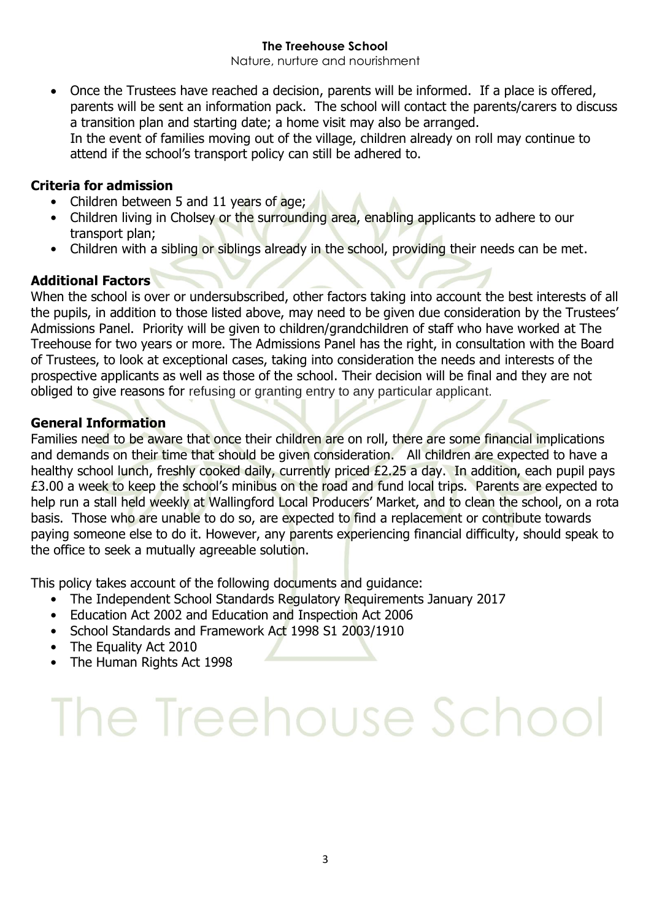Nature, nurture and nourishment

• Once the Trustees have reached a decision, parents will be informed. If a place is offered, parents will be sent an information pack. The school will contact the parents/carers to discuss a transition plan and starting date; a home visit may also be arranged. In the event of families moving out of the village, children already on roll may continue to attend if the school's transport policy can still be adhered to.

## **Criteria for admission**

- Children between 5 and 11 years of age;
- Children living in Cholsey or the surrounding area, enabling applicants to adhere to our transport plan;
- Children with a sibling or siblings already in the school, providing their needs can be met.

## **Additional Factors**

When the school is over or undersubscribed, other factors taking into account the best interests of all the pupils, in addition to those listed above, may need to be given due consideration by the Trustees' Admissions Panel. Priority will be given to children/grandchildren of staff who have worked at The Treehouse for two years or more. The Admissions Panel has the right, in consultation with the Board of Trustees, to look at exceptional cases, taking into consideration the needs and interests of the prospective applicants as well as those of the school. Their decision will be final and they are not obliged to give reasons for refusing or granting entry to any particular applicant.

## **General Information**

Families need to be aware that once their children are on roll, there are some financial implications and demands on their time that should be given consideration. All children are expected to have a healthy school lunch, freshly cooked daily, currently priced £2.25 a day. In addition, each pupil pays £3.00 a week to keep the school's minibus on the road and fund local trips. Parents are expected to help run a stall held weekly at Wallingford Local Producers' Market, and to clean the school, on a rota basis. Those who are unable to do so, are expected to find a replacement or contribute towards paying someone else to do it. However, any parents experiencing financial difficulty, should speak to the office to seek a mutually agreeable solution.

This policy takes account of the following documents and guidance:

- The Independent School Standards Regulatory Requirements January 2017
- Education Act 2002 and Education and Inspection Act 2006
- School Standards and Framework Act 1998 S1 2003/1910
- The Equality Act 2010
- The Human Rights Act 1998

# The Treehouse School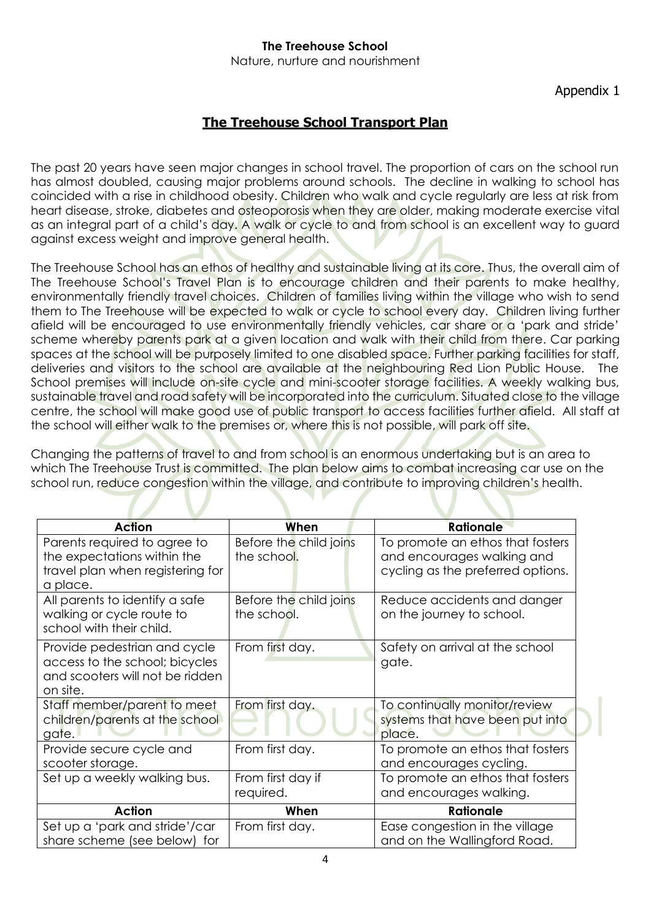Nature, nurture and nourishment

## Appendix 1

# **The Treehouse School Transport Plan**

The past 20 years have seen major changes in school travel. The proportion of cars on the school run has almost doubled, causing major problems around schools. The decline in walking to school has coincided with a rise in childhood obesity. Children who walk and cycle regularly are less at risk from heart disease, stroke, diabetes and osteoporosis when they are older, making moderate exercise vital as an integral part of a child's day. A walk or cycle to and from school is an excellent way to guard against excess weight and improve general health.

The Treehouse School has an ethos of healthy and sustainable living at its core. Thus, the overall aim of The Treehouse School's Travel Plan is to encourage children and their parents to make healthy, environmentally friendly travel choices. Children of families living within the village who wish to send them to The Treehouse will be expected to walk or cycle to school every day. Children living further afield will be encouraged to use environmentally friendly vehicles, car share or a 'park and stride' scheme whereby parents park at a given location and walk with their child from there. Car parking spaces at the school will be purposely limited to one disabled space. Further parking facilities for staff, deliveries and visitors to the school are available at the neighbouring Red Lion Public House. The School premises will include on-site cycle and mini-scooter storage facilities. A weekly walking bus, sustainable travel and road safety will be incorporated into the curriculum. Situated close to the village centre, the school will make good use of public transport to access facilities further afield. All staff at the school will either walk to the premises or, where this is not possible, will park off site.

Changing the patterns of travel to and from school is an enormous undertaking but is an area to which The Treehouse Trust is committed. The plan below aims to combat increasing car use on the school run, reduce congestion within the village, and contribute to improving children's health.

| <b>Action</b>                                                                                                 | When                                  | <b>Rationale</b>                                                                                    |
|---------------------------------------------------------------------------------------------------------------|---------------------------------------|-----------------------------------------------------------------------------------------------------|
| Parents required to agree to<br>the expectations within the<br>travel plan when registering for<br>a place.   | Before the child joins<br>the school. | To promote an ethos that fosters<br>and encourages walking and<br>cycling as the preferred options. |
| All parents to identify a safe<br>walking or cycle route to<br>school with their child.                       | Before the child joins<br>the school. | Reduce accidents and danger<br>on the journey to school.                                            |
| Provide pedestrian and cycle<br>access to the school; bicycles<br>and scooters will not be ridden<br>on site. | From first day.                       | Safety on arrival at the school<br>gate.                                                            |
| Staff member/parent to meet<br>children/parents at the school<br>gate.                                        | From first day.                       | To continually monitor/review<br>systems that have been put into<br>place.                          |
| Provide secure cycle and<br>scooter storage.                                                                  | From first day.                       | To promote an ethos that fosters<br>and encourages cycling.                                         |
| Set up a weekly walking bus.                                                                                  | From first day if<br>required.        | To promote an ethos that fosters<br>and encourages walking.                                         |
| <b>Action</b>                                                                                                 | When                                  | <b>Rationale</b>                                                                                    |
| Set up a 'park and stride'/car<br>share scheme (see below) for                                                | From first day.                       | Ease congestion in the village<br>and on the Wallingford Road.                                      |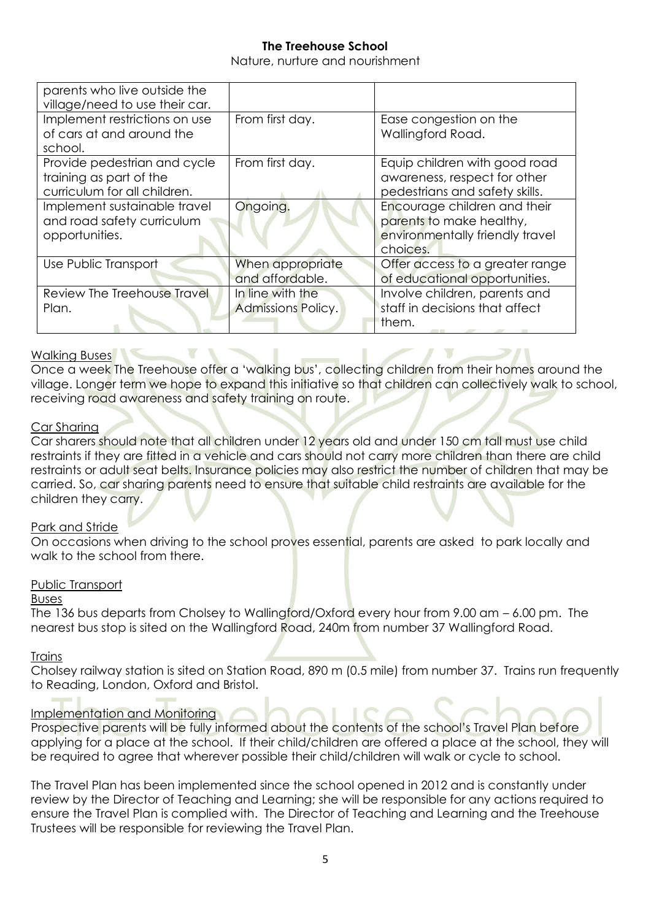Nature, nurture and nourishment

| parents who live outside the<br>village/need to use their car.                          |                                               |                                                                                                                 |
|-----------------------------------------------------------------------------------------|-----------------------------------------------|-----------------------------------------------------------------------------------------------------------------|
| Implement restrictions on use<br>of cars at and around the<br>school.                   | From first day.                               | Ease congestion on the<br>Wallingford Road.                                                                     |
| Provide pedestrian and cycle<br>training as part of the<br>curriculum for all children. | From first day.                               | Equip children with good road<br>awareness, respect for other<br>pedestrians and safety skills.                 |
| Implement sustainable travel<br>and road safety curriculum<br>opportunities.            | Ongoing.                                      | Encourage children and their<br>parents to make healthy,<br>environmentally friendly travel<br>choices.         |
| Use Public Transport                                                                    | When appropriate<br>and affordable.           | Offer access to a greater range<br>of educational opportunities.                                                |
| Review The Treehouse Travel<br>Plan.                                                    | In line with the<br><b>Admissions Policy.</b> | Involve children, parents and<br>staff in decisions that affect<br>them.<br>and the contract of the contract of |

### Walking Buses

Once a week The Treehouse offer a 'walking bus', collecting children from their homes around the village. Longer term we hope to expand this initiative so that children can collectively walk to school, receiving road awareness and safety training on route.

## Car Sharing

Car sharers should note that all children under 12 years old and under 150 cm tall must use child restraints if they are fitted in a vehicle and cars should not carry more children than there are child restraints or adult seat belts. Insurance policies may also restrict the number of children that may be carried. So, car sharing parents need to ensure that suitable child restraints are available for the children they carry.

### Park and Stride

On occasions when driving to the school proves essential, parents are asked to park locally and walk to the school from there.

### Public Transport

## Buses

The 136 bus departs from Cholsey to Wallingford/Oxford every hour from 9.00 am – 6.00 pm. The nearest bus stop is sited on the Wallingford Road, 240m from number 37 Wallingford Road.

### **Trains**

Cholsey railway station is sited on Station Road, 890 m (0.5 mile) from number 37. Trains run frequently to Reading, London, Oxford and Bristol.

## Implementation and Monitoring

Prospective parents will be fully informed about the contents of the school's Travel Plan before applying for a place at the school. If their child/children are offered a place at the school, they will be required to agree that wherever possible their child/children will walk or cycle to school.

The Travel Plan has been implemented since the school opened in 2012 and is constantly under review by the Director of Teaching and Learning; she will be responsible for any actions required to ensure the Travel Plan is complied with. The Director of Teaching and Learning and the Treehouse Trustees will be responsible for reviewing the Travel Plan.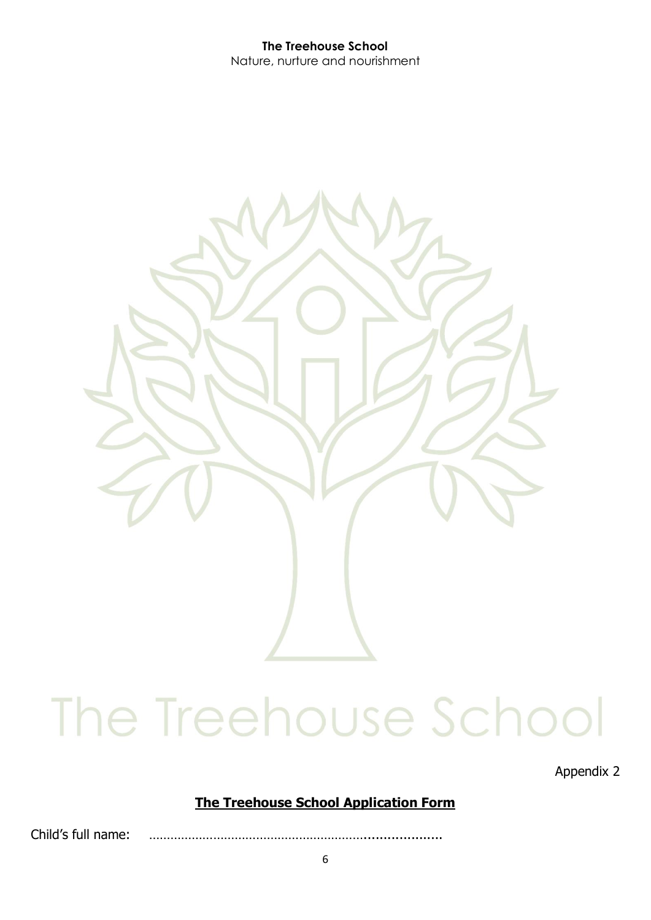

Appendix 2

# **The Treehouse School Application Form**

Child's full name: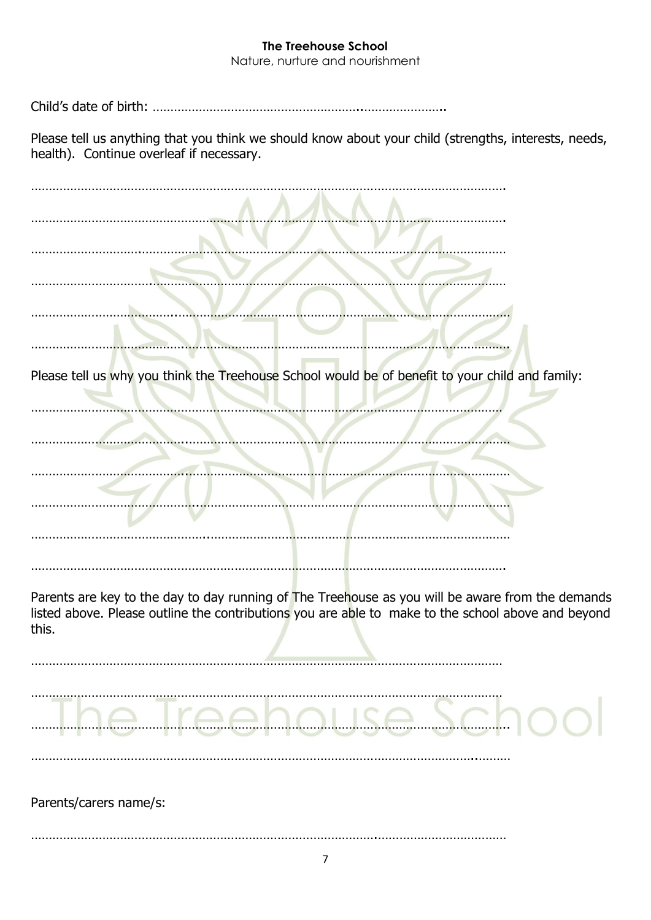Nature, nurture and nourishment

Child's date of birth: …………………………………………………..…………………..

Please tell us anything that you think we should know about your child (strengths, interests, needs, health). Continue overleaf if necessary.

| Please tell us why you think the Treehouse School would be of benefit to your child and family:                                                                                                                 |
|-----------------------------------------------------------------------------------------------------------------------------------------------------------------------------------------------------------------|
|                                                                                                                                                                                                                 |
|                                                                                                                                                                                                                 |
| Parents are key to the day to day running of The Treehouse as you will be aware from the demands<br>listed above. Please outline the contributions you are able to make to the school above and beyond<br>this. |
|                                                                                                                                                                                                                 |
| Parents/carers name/s:                                                                                                                                                                                          |